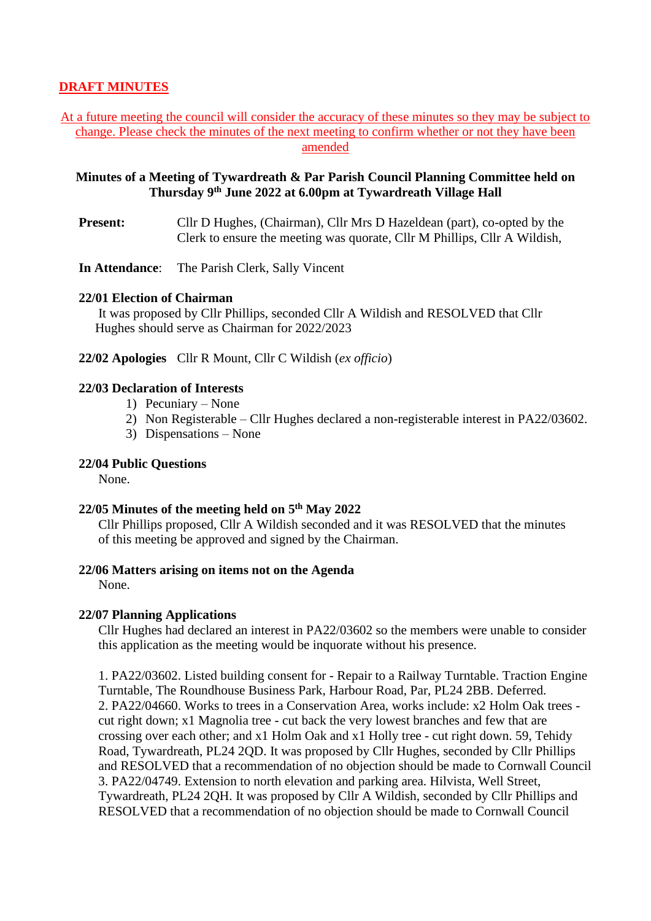# **DRAFT MINUTES**

## At a future meeting the council will consider the accuracy of these minutes so they may be subject to change. Please check the minutes of the next meeting to confirm whether or not they have been amended

## **Minutes of a Meeting of Tywardreath & Par Parish Council Planning Committee held on Thursday 9 th June 2022 at 6.00pm at Tywardreath Village Hall**

**Present:** Cllr D Hughes, (Chairman), Cllr Mrs D Hazeldean (part), co-opted by the Clerk to ensure the meeting was quorate, Cllr M Phillips, Cllr A Wildish,

**In Attendance**: The Parish Clerk, Sally Vincent

#### **22/01 Election of Chairman**

It was proposed by Cllr Phillips, seconded Cllr A Wildish and RESOLVED that Cllr Hughes should serve as Chairman for 2022/2023

**22/02 Apologies** Cllr R Mount, Cllr C Wildish (*ex officio*)

# **22/03 Declaration of Interests**

- 1) Pecuniary None
- 2) Non Registerable Cllr Hughes declared a non-registerable interest in PA22/03602.
- 3) Dispensations None

### **22/04 Public Questions**

None.

### **22/05 Minutes of the meeting held on 5 th May 2022**

Cllr Phillips proposed, Cllr A Wildish seconded and it was RESOLVED that the minutes of this meeting be approved and signed by the Chairman.

### **22/06 Matters arising on items not on the Agenda**

None.

#### **22/07 Planning Applications**

Cllr Hughes had declared an interest in PA22/03602 so the members were unable to consider this application as the meeting would be inquorate without his presence.

1. PA22/03602. Listed building consent for - [Repair to a Railway Turntable.](https://planning.cornwall.gov.uk/online-applications/applicationDetails.do?activeTab=summary&keyVal=RA6M04FGKDB00&prevPage=inTray) Traction Engine Turntable, The Roundhouse Business Park, Harbour Road, Par, PL24 2BB. Deferred. 2. PA22/04660. [Works to trees in a Conservation Area, works include: x2 Holm Oak](https://planning.cornwall.gov.uk/online-applications/applicationDetails.do?activeTab=summary&keyVal=RC2FGWFGFHF00&prevPage=inTray) trees [cut right down; x1 Magnolia tree -](https://planning.cornwall.gov.uk/online-applications/applicationDetails.do?activeTab=summary&keyVal=RC2FGWFGFHF00&prevPage=inTray) cut back the very lowest branches and few that are [crossing over each other; and x1 Holm Oak and x1 Holly tree -](https://planning.cornwall.gov.uk/online-applications/applicationDetails.do?activeTab=summary&keyVal=RC2FGWFGFHF00&prevPage=inTray) cut right down. 59, Tehidy Road, Tywardreath, PL24 2QD. It was proposed by Cllr Hughes, seconded by Cllr Phillips and RESOLVED that a recommendation of no objection should be made to Cornwall Council 3. PA22/04749. [Extension to north elevation and parking area.](https://planning.cornwall.gov.uk/online-applications/applicationDetails.do?activeTab=summary&keyVal=RC64STFGI0800&prevPage=inTray) Hilvista, Well Street, Tywardreath, PL24 2QH. It was proposed by Cllr A Wildish, seconded by Cllr Phillips and RESOLVED that a recommendation of no objection should be made to Cornwall Council